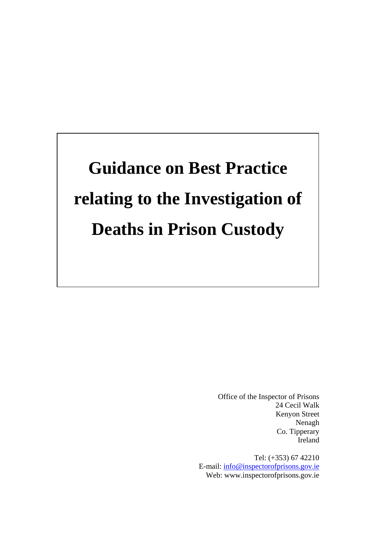# **Guidance on Best Practice relating to the Investigation of Deaths in Prison Custody**

Office of the Inspector of Prisons 24 Cecil Walk Kenyon Street Nenagh Co. Tipperary Ireland

Tel: (+353) 67 42210 E-mail: [info@inspectorofprisons.gov.ie](mailto:info@inspectorofprisons.gov.ie) Web: www.inspectorofprisons.gov.ie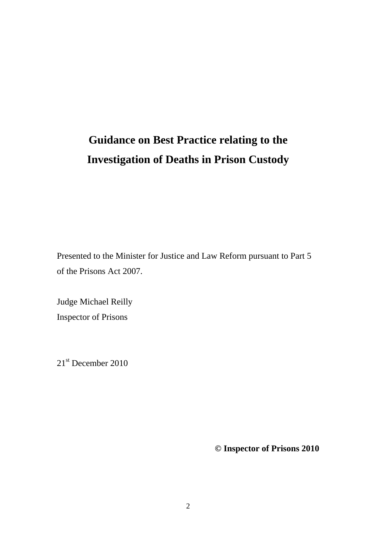## **Guidance on Best Practice relating to the Investigation of Deaths in Prison Custody**

Presented to the Minister for Justice and Law Reform pursuant to Part 5 of the Prisons Act 2007.

Judge Michael Reilly Inspector of Prisons

21<sup>st</sup> December 2010

**© Inspector of Prisons 2010**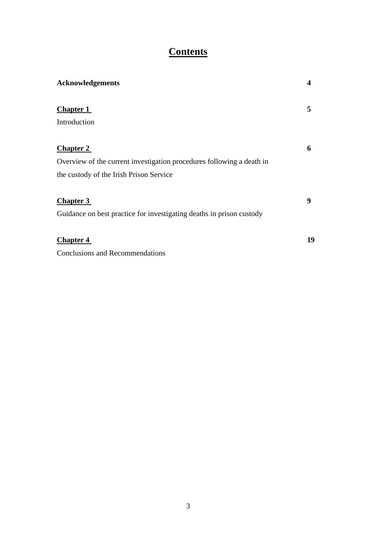## **Contents**

| <b>Acknowledgements</b>                                               | 4  |
|-----------------------------------------------------------------------|----|
| <b>Chapter 1</b>                                                      | 5  |
| Introduction                                                          |    |
| <b>Chapter 2</b>                                                      | 6  |
| Overview of the current investigation procedures following a death in |    |
| the custody of the Irish Prison Service                               |    |
| <b>Chapter 3</b>                                                      | 9  |
| Guidance on best practice for investigating deaths in prison custody  |    |
| <b>Chapter 4</b>                                                      | 19 |
| <b>Conclusions and Recommendations</b>                                |    |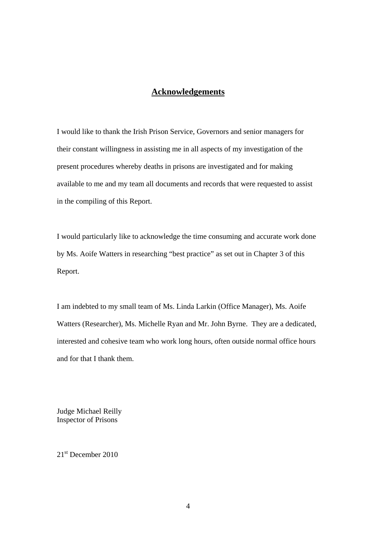### **Acknowledgements**

I would like to thank the Irish Prison Service, Governors and senior managers for their constant willingness in assisting me in all aspects of my investigation of the present procedures whereby deaths in prisons are investigated and for making available to me and my team all documents and records that were requested to assist in the compiling of this Report.

I would particularly like to acknowledge the time consuming and accurate work done by Ms. Aoife Watters in researching "best practice" as set out in Chapter 3 of this Report.

I am indebted to my small team of Ms. Linda Larkin (Office Manager), Ms. Aoife Watters (Researcher), Ms. Michelle Ryan and Mr. John Byrne. They are a dedicated, interested and cohesive team who work long hours, often outside normal office hours and for that I thank them.

Judge Michael Reilly Inspector of Prisons

21<sup>st</sup> December 2010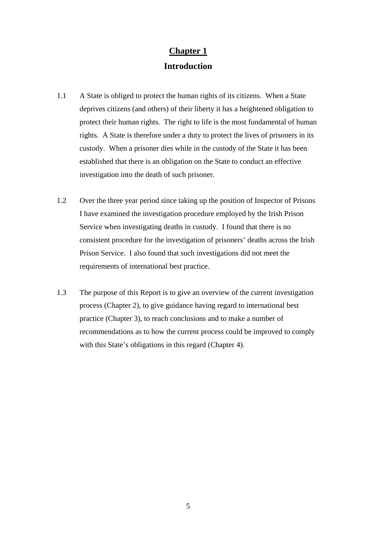## **Chapter 1 Introduction**

- 1.1 A State is obliged to protect the human rights of its citizens. When a State deprives citizens (and others) of their liberty it has a heightened obligation to protect their human rights. The right to life is the most fundamental of human rights. A State is therefore under a duty to protect the lives of prisoners in its custody. When a prisoner dies while in the custody of the State it has been established that there is an obligation on the State to conduct an effective investigation into the death of such prisoner.
- 1.2 Over the three year period since taking up the position of Inspector of Prisons I have examined the investigation procedure employed by the Irish Prison Service when investigating deaths in custody. I found that there is no consistent procedure for the investigation of prisoners' deaths across the Irish Prison Service. I also found that such investigations did not meet the requirements of international best practice.
- 1.3 The purpose of this Report is to give an overview of the current investigation process (Chapter 2), to give guidance having regard to international best practice (Chapter 3), to reach conclusions and to make a number of recommendations as to how the current process could be improved to comply with this State's obligations in this regard (Chapter 4).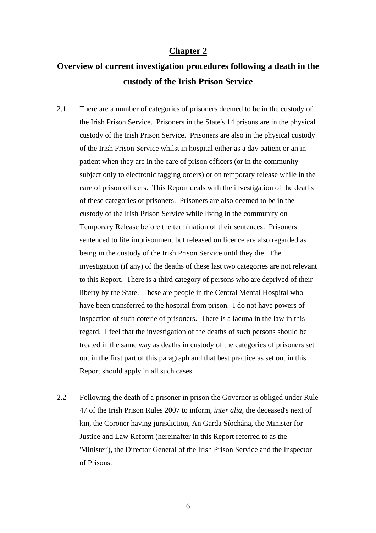#### **Chapter 2**

## **Overview of current investigation procedures following a death in the custody of the Irish Prison Service**

- 2.1 There are a number of categories of prisoners deemed to be in the custody of the Irish Prison Service. Prisoners in the State's 14 prisons are in the physical custody of the Irish Prison Service. Prisoners are also in the physical custody of the Irish Prison Service whilst in hospital either as a day patient or an inpatient when they are in the care of prison officers (or in the community subject only to electronic tagging orders) or on temporary release while in the care of prison officers. This Report deals with the investigation of the deaths of these categories of prisoners. Prisoners are also deemed to be in the custody of the Irish Prison Service while living in the community on Temporary Release before the termination of their sentences. Prisoners sentenced to life imprisonment but released on licence are also regarded as being in the custody of the Irish Prison Service until they die. The investigation (if any) of the deaths of these last two categories are not relevant to this Report. There is a third category of persons who are deprived of their liberty by the State. These are people in the Central Mental Hospital who have been transferred to the hospital from prison. I do not have powers of inspection of such coterie of prisoners. There is a lacuna in the law in this regard. I feel that the investigation of the deaths of such persons should be treated in the same way as deaths in custody of the categories of prisoners set out in the first part of this paragraph and that best practice as set out in this Report should apply in all such cases.
- 2.2 Following the death of a prisoner in prison the Governor is obliged under Rule 47 of the Irish Prison Rules 2007 to inform, *inter alia,* the deceased's next of kin, the Coroner having jurisdiction, An Garda Síochána, the Minister for Justice and Law Reform (hereinafter in this Report referred to as the 'Minister'), the Director General of the Irish Prison Service and the Inspector of Prisons.

6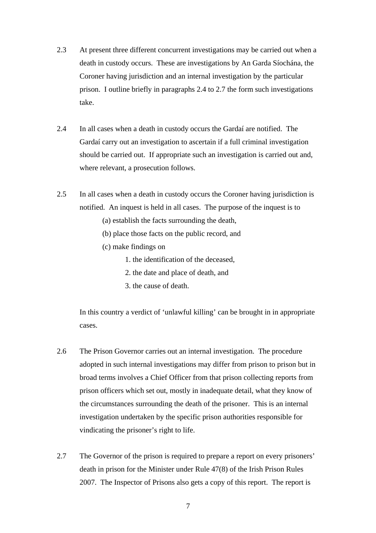- 2.3 At present three different concurrent investigations may be carried out when a death in custody occurs. These are investigations by An Garda Síochána, the Coroner having jurisdiction and an internal investigation by the particular prison. I outline briefly in paragraphs 2.4 to 2.7 the form such investigations take.
- 2.4 In all cases when a death in custody occurs the Gardaí are notified. The Gardaí carry out an investigation to ascertain if a full criminal investigation should be carried out. If appropriate such an investigation is carried out and, where relevant, a prosecution follows.
- 2.5 In all cases when a death in custody occurs the Coroner having jurisdiction is notified. An inquest is held in all cases. The purpose of the inquest is to
	- (a) establish the facts surrounding the death,
	- (b) place those facts on the public record, and
	- (c) make findings on
		- 1. the identification of the deceased,
		- 2. the date and place of death, and
		- 3. the cause of death.

 In this country a verdict of 'unlawful killing' can be brought in in appropriate cases.

- 2.6 The Prison Governor carries out an internal investigation. The procedure adopted in such internal investigations may differ from prison to prison but in broad terms involves a Chief Officer from that prison collecting reports from prison officers which set out, mostly in inadequate detail, what they know of the circumstances surrounding the death of the prisoner. This is an internal investigation undertaken by the specific prison authorities responsible for vindicating the prisoner's right to life.
- 2.7 The Governor of the prison is required to prepare a report on every prisoners' death in prison for the Minister under Rule 47(8) of the Irish Prison Rules 2007. The Inspector of Prisons also gets a copy of this report. The report is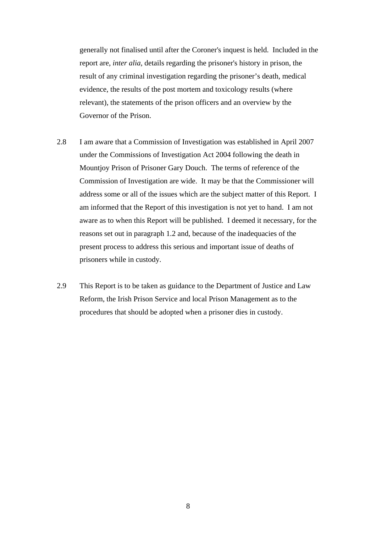generally not finalised until after the Coroner's inquest is held. Included in the report are, *inter alia,* details regarding the prisoner's history in prison, the result of any criminal investigation regarding the prisoner's death, medical evidence, the results of the post mortem and toxicology results (where relevant), the statements of the prison officers and an overview by the Governor of the Prison.

- 2.8 I am aware that a Commission of Investigation was established in April 2007 under the Commissions of Investigation Act 2004 following the death in Mountjoy Prison of Prisoner Gary Douch. The terms of reference of the Commission of Investigation are wide. It may be that the Commissioner will address some or all of the issues which are the subject matter of this Report. I am informed that the Report of this investigation is not yet to hand. I am not aware as to when this Report will be published. I deemed it necessary, for the reasons set out in paragraph 1.2 and, because of the inadequacies of the present process to address this serious and important issue of deaths of prisoners while in custody.
- 2.9 This Report is to be taken as guidance to the Department of Justice and Law Reform, the Irish Prison Service and local Prison Management as to the procedures that should be adopted when a prisoner dies in custody.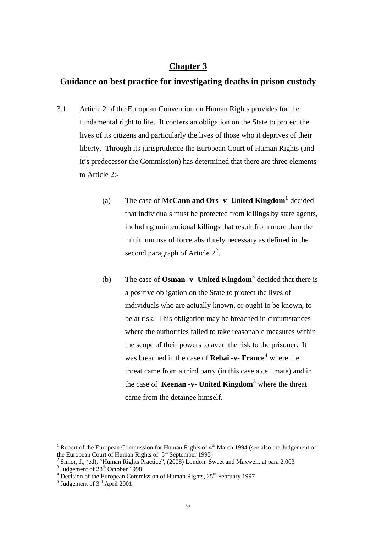#### **Chapter 3**

## **Guidance on best practice for investigating deaths in prison custody**

- 3.1 Article 2 of the European Convention on Human Rights provides for the fundamental right to life. It confers an obligation on the State to protect the lives of its citizens and particularly the lives of those who it deprives of their liberty. Through its jurisprudence the European Court of Human Rights (and it's predecessor the Commission) has determined that there are three elements to Article 2:-
	- (a) The case of **McCann and Ors -v- United Kingdom[1](#page-8-0)** decided that individuals must be protected from killings by state agents, including unintentional killings that result from more than the minimum use of force absolutely necessary as defined in the second paragraph of Article  $2^2$  $2^2$ .
	- (b) The case of **Osman -v- United Kingdom[3](#page-8-2)** decided that there is a positive obligation on the State to protect the lives of individuals who are actually known, or ought to be known, to be at risk. This obligation may be breached in circumstances where the authorities failed to take reasonable measures within the scope of their powers to avert the risk to the prisoner. It was breached in the case of **Rebai -v- France[4](#page-8-3)** where the threat came from a third party (in this case a cell mate) and in the case of **Keenan -v- United Kingdom[5](#page-8-4)** where the threat came from the detainee himself.

<span id="page-8-0"></span><sup>1</sup> Report of the European Commission for Human Rights of 4<sup>th</sup> March 1994 (see also the Judgement of the European Court of Human Rights of  $5<sup>th</sup>$  September 1995)

<span id="page-8-1"></span> $\frac{3}{2}$  Simor, J., (ed), "Human Rights Practice", (2008) London: Sweet and Maxwell, at para 2.003  $\frac{3}{2}$  Indecement of 28<sup>th</sup> October 1008

 $\frac{3}{4}$  Judgement of 28<sup>th</sup> October 1998

<span id="page-8-2"></span> $\frac{4 \text{ Decision of the European Commission of Human Rights, } 25^{\text{th}} \text{ February } 1997}$ 

<span id="page-8-4"></span><span id="page-8-3"></span> $<sup>5</sup>$  Judgement of 3<sup>rd</sup> April 2001</sup>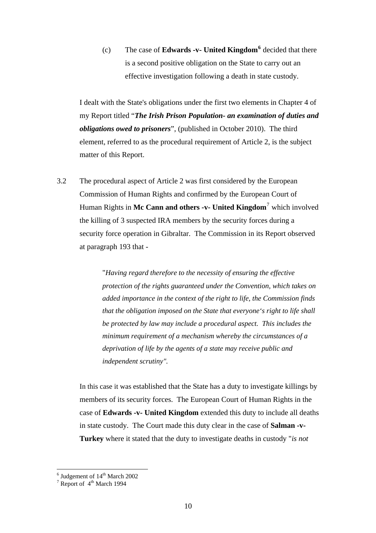(c) The case of **Edwards -v- United Kingdom[6](#page-9-0)** decided that there is a second positive obligation on the State to carry out an effective investigation following a death in state custody.

I dealt with the State's obligations under the first two elements in Chapter 4 of my Report titled "*The Irish Prison Population- an examination of duties and obligations owed to prisoners*", (published in October 2010). The third element, referred to as the procedural requirement of Article 2, is the subject matter of this Report.

3.2 The procedural aspect of Article 2 was first considered by the European Commission of Human Rights and confirmed by the European Court of Human Rights in **Mc Cann and others -v- United Kingdom**[7](#page-9-1) which involved the killing of 3 suspected IRA members by the security forces during a security force operation in Gibraltar. The Commission in its Report observed at paragraph 193 that -

> "*Having regard therefore to the necessity of ensuring the effective protection of the rights guaranteed under the Convention, which takes on added importance in the context of the right to life, the Commission finds that the obligation imposed on the State that everyone's right to life shall be protected by law may include a procedural aspect. This includes the minimum requirement of a mechanism whereby the circumstances of a deprivation of life by the agents of a state may receive public and independent scrutiny".*

In this case it was established that the State has a duty to investigate killings by members of its security forces. The European Court of Human Rights in the case of **Edwards -v- United Kingdom** extended this duty to include all deaths in state custody. The Court made this duty clear in the case of **Salman -v-Turkey** where it stated that the duty to investigate deaths in custody "*is not* 

<span id="page-9-0"></span> $^6$  Judgement of  $14^{\text{th}}$  March 2002<br><sup>7</sup> Report of  $4^{\text{th}}$  March 1994

<span id="page-9-1"></span>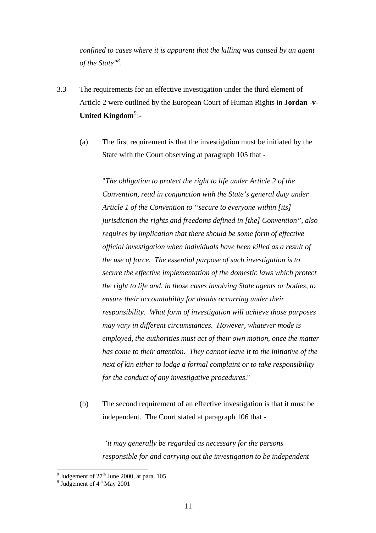*confined to cases where it is apparent that the killing was caused by an agent of the State"[8](#page-10-0) .* 

- 3.3 The requirements for an effective investigation under the third element of Article 2 were outlined by the European Court of Human Rights in **Jordan -v-**United Kingdom<sup>[9](#page-10-1)</sup>:-
	- (a) The first requirement is that the investigation must be initiated by the State with the Court observing at paragraph 105 that -

"*The obligation to protect the right to life under Article 2 of the Convention, read in conjunction with the State's general duty under Article 1 of the Convention to "secure to everyone within [its] jurisdiction the rights and freedoms defined in [the] Convention", also requires by implication that there should be some form of effective official investigation when individuals have been killed as a result of the use of force. The essential purpose of such investigation is to secure the effective implementation of the domestic laws which protect the right to life and, in those cases involving State agents or bodies, to ensure their accountability for deaths occurring under their responsibility. What form of investigation will achieve those purposes may vary in different circumstances. However, whatever mode is employed, the authorities must act of their own motion, once the matter has come to their attention. They cannot leave it to the initiative of the next of kin either to lodge a formal complaint or to take responsibility for the conduct of any investigative procedures*."

(b) The second requirement of an effective investigation is that it must be independent. The Court stated at paragraph 106 that -

 "*it may generally be regarded as necessary for the persons responsible for and carrying out the investigation to be independent* 

<sup>&</sup>lt;sup>8</sup> Judgement of  $27<sup>th</sup>$  June 2000, at para. 105<sup>9</sup> Judgement of  $4<sup>th</sup>$  May 2001

<span id="page-10-1"></span><span id="page-10-0"></span> $9$  Judgement of  $4<sup>th</sup>$  May 2001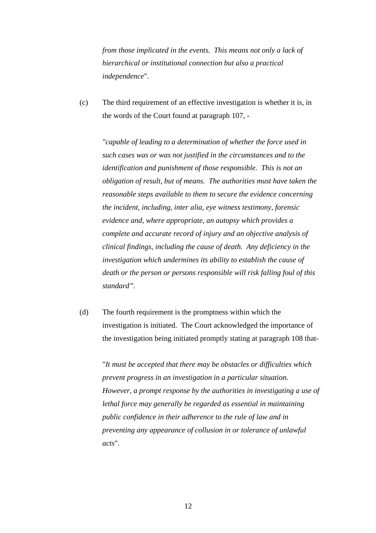*from those implicated in the events. This means not only a lack of hierarchical or institutional connection but also a practical independence*".

(c) The third requirement of an effective investigation is whether it is, in the words of the Court found at paragraph 107, -

*"capable of leading to a determination of whether the force used in such cases was or was not justified in the circumstances and to the identification and punishment of those responsible. This is not an obligation of result, but of means. The authorities must have taken the reasonable steps available to them to secure the evidence concerning the incident, including, inter alia, eye witness testimony, forensic evidence and, where appropriate, an autopsy which provides a complete and accurate record of injury and an objective analysis of clinical findings, including the cause of death. Any deficiency in the investigation which undermines its ability to establish the cause of death or the person or persons responsible will risk falling foul of this standard".* 

(d) The fourth requirement is the promptness within which the investigation is initiated. The Court acknowledged the importance of the investigation being initiated promptly stating at paragraph 108 that-

"*It must be accepted that there may be obstacles or difficulties which prevent progress in an investigation in a particular situation. However, a prompt response by the authorities in investigating a use of lethal force may generally be regarded as essential in maintaining public confidence in their adherence to the rule of law and in preventing any appearance of collusion in or tolerance of unlawful acts*".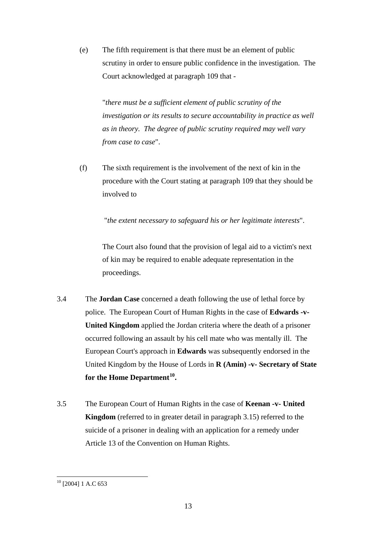(e) The fifth requirement is that there must be an element of public scrutiny in order to ensure public confidence in the investigation. The Court acknowledged at paragraph 109 that -

"*there must be a sufficient element of public scrutiny of the investigation or its results to secure accountability in practice as well as in theory. The degree of public scrutiny required may well vary from case to case*".

(f) The sixth requirement is the involvement of the next of kin in the procedure with the Court stating at paragraph 109 that they should be involved to

"*the extent necessary to safeguard his or her legitimate interests*".

The Court also found that the provision of legal aid to a victim's next of kin may be required to enable adequate representation in the proceedings.

- 3.4 The **Jordan Case** concerned a death following the use of lethal force by police. The European Court of Human Rights in the case of **Edwards -v-United Kingdom** applied the Jordan criteria where the death of a prisoner occurred following an assault by his cell mate who was mentally ill. The European Court's approach in **Edwards** was subsequently endorsed in the United Kingdom by the House of Lords in **R (Amin) -v- Secretary of State for the Home Department[10](#page-12-0)***.*
- 3.5 The European Court of Human Rights in the case of **Keenan -v- United Kingdom** (referred to in greater detail in paragraph 3.15) referred to the suicide of a prisoner in dealing with an application for a remedy under Article 13 of the Convention on Human Rights.

<span id="page-12-0"></span><sup>&</sup>lt;sup>10</sup> [2004] 1 A.C 653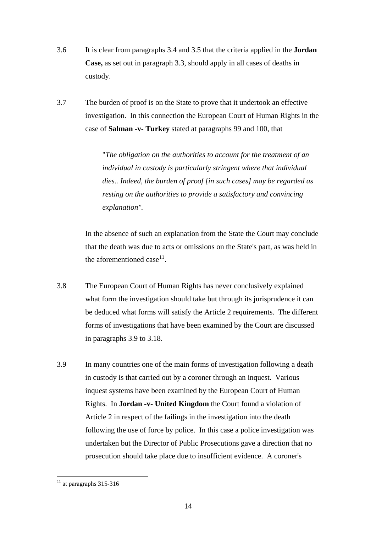- 3.6 It is clear from paragraphs 3.4 and 3.5 that the criteria applied in the **Jordan Case,** as set out in paragraph 3.3, should apply in all cases of deaths in custody.
- 3.7 The burden of proof is on the State to prove that it undertook an effective investigation. In this connection the European Court of Human Rights in the case of **Salman -v- Turkey** stated at paragraphs 99 and 100, that

"*The obligation on the authorities to account for the treatment of an individual in custody is particularly stringent where that individual dies.. Indeed, the burden of proof [in such cases] may be regarded as resting on the authorities to provide a satisfactory and convincing explanation".*

In the absence of such an explanation from the State the Court may conclude that the death was due to acts or omissions on the State's part, as was held in the aforementioned case  $11$ .

- 3.8 The European Court of Human Rights has never conclusively explained what form the investigation should take but through its jurisprudence it can be deduced what forms will satisfy the Article 2 requirements. The different forms of investigations that have been examined by the Court are discussed in paragraphs 3.9 to 3.18.
- 3.9 In many countries one of the main forms of investigation following a death in custody is that carried out by a coroner through an inquest. Various inquest systems have been examined by the European Court of Human Rights. In **Jordan -v- United Kingdom** the Court found a violation of Article 2 in respect of the failings in the investigation into the death following the use of force by police. In this case a police investigation was undertaken but the Director of Public Prosecutions gave a direction that no prosecution should take place due to insufficient evidence. A coroner's

<span id="page-13-0"></span> $11$  at paragraphs 315-316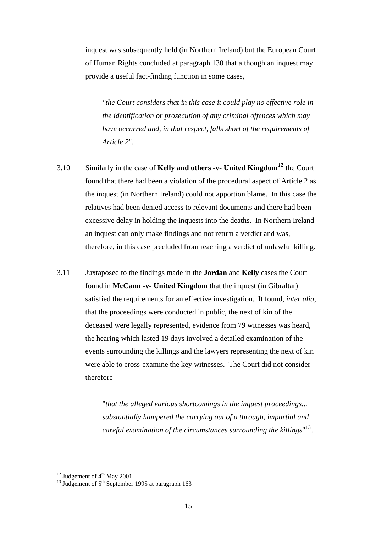inquest was subsequently held (in Northern Ireland) but the European Court of Human Rights concluded at paragraph 130 that although an inquest may provide a useful fact-finding function in some cases*,* 

*"the Court considers that in this case it could play no effective role in the identification or prosecution of any criminal offences which may have occurred and, in that respect, falls short of the requirements of Article 2*".

- 3.10 Similarly in the case of **Kelly and others -v- United Kingdom***[12](#page-14-0)* the Court found that there had been a violation of the procedural aspect of Article 2 as the inquest (in Northern Ireland) could not apportion blame. In this case the relatives had been denied access to relevant documents and there had been excessive delay in holding the inquests into the deaths. In Northern Ireland an inquest can only make findings and not return a verdict and was, therefore, in this case precluded from reaching a verdict of unlawful killing.
- 3.11 Juxtaposed to the findings made in the **Jordan** and **Kelly** cases the Court found in **McCann -v- United Kingdom** that the inquest (in Gibraltar) satisfied the requirements for an effective investigation. It found, *inter alia,* that the proceedings were conducted in public, the next of kin of the deceased were legally represented, evidence from 79 witnesses was heard, the hearing which lasted 19 days involved a detailed examination of the events surrounding the killings and the lawyers representing the next of kin were able to cross-examine the key witnesses. The Court did not consider therefore

"*that the alleged various shortcomings in the inquest proceedings... substantially hampered the carrying out of a through, impartial and careful examination of the circumstances surrounding the killings*" [13](#page-14-1).

<span id="page-14-0"></span><sup>&</sup>lt;sup>12</sup> Judgement of  $4<sup>th</sup>$  May 2001

<span id="page-14-1"></span><sup>&</sup>lt;sup>13</sup> Judgement of  $5<sup>th</sup>$  September 1995 at paragraph 163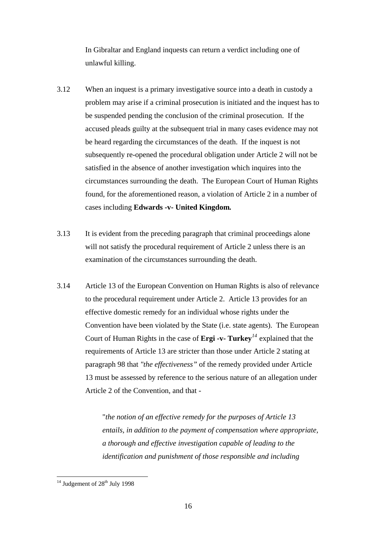In Gibraltar and England inquests can return a verdict including one of unlawful killing.

- 3.12 When an inquest is a primary investigative source into a death in custody a problem may arise if a criminal prosecution is initiated and the inquest has to be suspended pending the conclusion of the criminal prosecution. If the accused pleads guilty at the subsequent trial in many cases evidence may not be heard regarding the circumstances of the death. If the inquest is not subsequently re-opened the procedural obligation under Article 2 will not be satisfied in the absence of another investigation which inquires into the circumstances surrounding the death. The European Court of Human Rights found, for the aforementioned reason, a violation of Article 2 in a number of cases including **Edwards -v- United Kingdom***.*
- 3.13 It is evident from the preceding paragraph that criminal proceedings alone will not satisfy the procedural requirement of Article 2 unless there is an examination of the circumstances surrounding the death.
- 3.14 Article 13 of the European Convention on Human Rights is also of relevance to the procedural requirement under Article 2. Article 13 provides for an effective domestic remedy for an individual whose rights under the Convention have been violated by the State (i.e. state agents). The European Court of Human Rights in the case of **Ergi -v- Turkey***[14](#page-15-0)* explained that the requirements of Article 13 are stricter than those under Article 2 stating at paragraph 98 that *"the effectiveness"* of the remedy provided under Article 13 must be assessed by reference to the serious nature of an allegation under Article 2 of the Convention, and that -

"*the notion of an effective remedy for the purposes of Article 13 entails, in addition to the payment of compensation where appropriate, a thorough and effective investigation capable of leading to the identification and punishment of those responsible and including* 

<span id="page-15-0"></span> $14$  Judgement of  $28<sup>th</sup>$  July 1998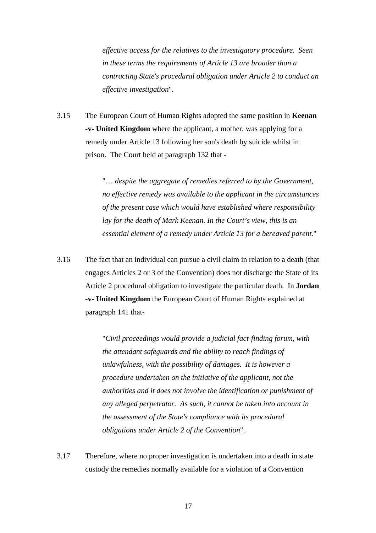*effective access for the relatives to the investigatory procedure. Seen in these terms the requirements of Article 13 are broader than a contracting State's procedural obligation under Article 2 to conduct an effective investigation*".

3.15 The European Court of Human Rights adopted the same position in **Keenan -v- United Kingdom** where the applicant, a mother, was applying for a remedy under Article 13 following her son's death by suicide whilst in prison. The Court held at paragraph 132 that -

> "… *despite the aggregate of remedies referred to by the Government, no effective remedy was available to the applicant in the circumstances of the present case which would have established where responsibility lay for the death of Mark Keenan. In the Court's view, this is an essential element of a remedy under Article 13 for a bereaved parent.*"

3.16 The fact that an individual can pursue a civil claim in relation to a death (that engages Articles 2 or 3 of the Convention) does not discharge the State of its Article 2 procedural obligation to investigate the particular death. In **Jordan -v- United Kingdom** the European Court of Human Rights explained at paragraph 141 that-

> "*Civil proceedings would provide a judicial fact-finding forum, with the attendant safeguards and the ability to reach findings of unlawfulness, with the possibility of damages. It is however a procedure undertaken on the initiative of the applicant, not the authorities and it does not involve the identification or punishment of any alleged perpetrator. As such, it cannot be taken into account in the assessment of the State's compliance with its procedural obligations under Article 2 of the Convention*".

3.17 Therefore, where no proper investigation is undertaken into a death in state custody the remedies normally available for a violation of a Convention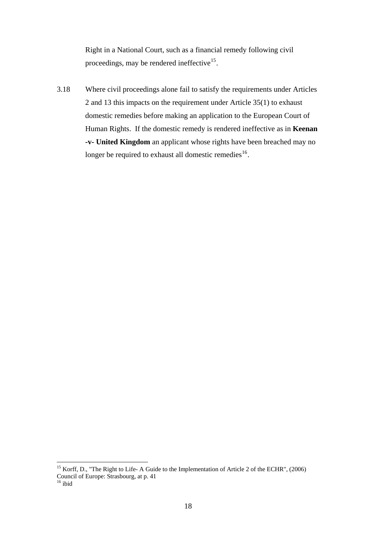Right in a National Court, such as a financial remedy following civil proceedings, may be rendered ineffective<sup>[15](#page-17-0)</sup>.

3.18 Where civil proceedings alone fail to satisfy the requirements under Articles 2 and 13 this impacts on the requirement under Article 35(1) to exhaust domestic remedies before making an application to the European Court of Human Rights. If the domestic remedy is rendered ineffective as in **Keenan -v- United Kingdom** an applicant whose rights have been breached may no longer be required to exhaust all domestic remedies<sup>[16](#page-17-1)</sup>.

<span id="page-17-0"></span><sup>&</sup>lt;sup>15</sup> Korff, D., "The Right to Life- A Guide to the Implementation of Article 2 of the ECHR", (2006) Council of Europe: Strasbourg, at p. 41

<span id="page-17-1"></span> $16$  ibid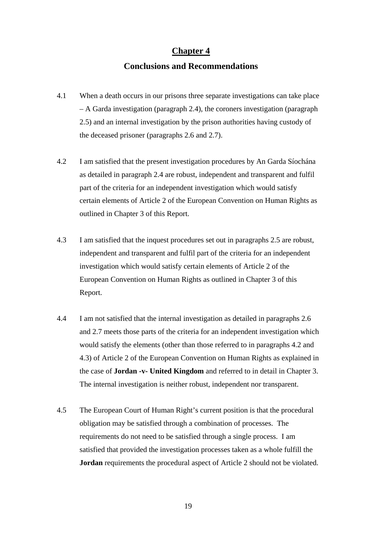#### **Chapter 4**

## **Conclusions and Recommendations**

- 4.1 When a death occurs in our prisons three separate investigations can take place – A Garda investigation (paragraph 2.4), the coroners investigation (paragraph 2.5) and an internal investigation by the prison authorities having custody of the deceased prisoner (paragraphs 2.6 and 2.7).
- 4.2 I am satisfied that the present investigation procedures by An Garda Síochána as detailed in paragraph 2.4 are robust, independent and transparent and fulfil part of the criteria for an independent investigation which would satisfy certain elements of Article 2 of the European Convention on Human Rights as outlined in Chapter 3 of this Report.
- 4.3 I am satisfied that the inquest procedures set out in paragraphs 2.5 are robust, independent and transparent and fulfil part of the criteria for an independent investigation which would satisfy certain elements of Article 2 of the European Convention on Human Rights as outlined in Chapter 3 of this Report.
- 4.4 I am not satisfied that the internal investigation as detailed in paragraphs 2.6 and 2.7 meets those parts of the criteria for an independent investigation which would satisfy the elements (other than those referred to in paragraphs 4.2 and 4.3) of Article 2 of the European Convention on Human Rights as explained in the case of **Jordan -v- United Kingdom** and referred to in detail in Chapter 3. The internal investigation is neither robust, independent nor transparent.
- 4.5 The European Court of Human Right's current position is that the procedural obligation may be satisfied through a combination of processes. The requirements do not need to be satisfied through a single process. I am satisfied that provided the investigation processes taken as a whole fulfill the **Jordan** requirements the procedural aspect of Article 2 should not be violated.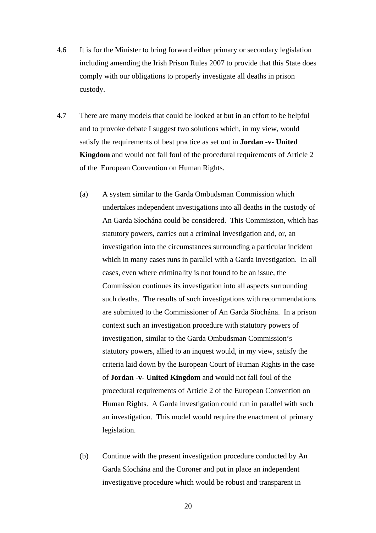- 4.6 It is for the Minister to bring forward either primary or secondary legislation including amending the Irish Prison Rules 2007 to provide that this State does comply with our obligations to properly investigate all deaths in prison custody.
- 4.7 There are many models that could be looked at but in an effort to be helpful and to provoke debate I suggest two solutions which, in my view, would satisfy the requirements of best practice as set out in **Jordan -v- United Kingdom** and would not fall foul of the procedural requirements of Article 2 of the European Convention on Human Rights.
	- (a) A system similar to the Garda Ombudsman Commission which undertakes independent investigations into all deaths in the custody of An Garda Síochána could be considered. This Commission, which has statutory powers, carries out a criminal investigation and, or, an investigation into the circumstances surrounding a particular incident which in many cases runs in parallel with a Garda investigation. In all cases, even where criminality is not found to be an issue, the Commission continues its investigation into all aspects surrounding such deaths. The results of such investigations with recommendations are submitted to the Commissioner of An Garda Síochána. In a prison context such an investigation procedure with statutory powers of investigation, similar to the Garda Ombudsman Commission's statutory powers, allied to an inquest would, in my view, satisfy the criteria laid down by the European Court of Human Rights in the case of **Jordan -v- United Kingdom** and would not fall foul of the procedural requirements of Article 2 of the European Convention on Human Rights. A Garda investigation could run in parallel with such an investigation. This model would require the enactment of primary legislation.
	- (b) Continue with the present investigation procedure conducted by An Garda Síochána and the Coroner and put in place an independent investigative procedure which would be robust and transparent in

20